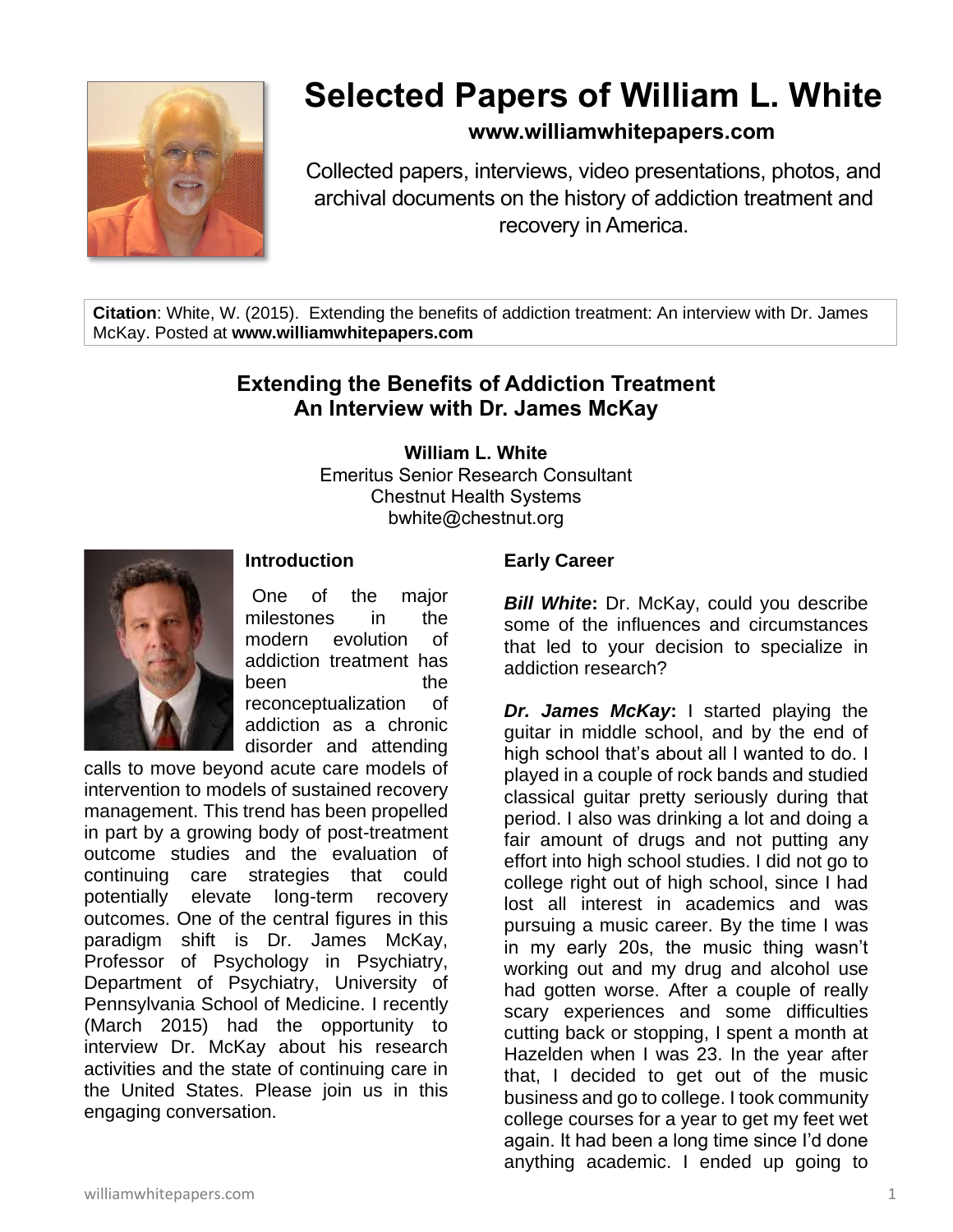

# **Selected Papers of William L. White**

### **www.williamwhitepapers.com**

Collected papers, interviews, video presentations, photos, and archival documents on the history of addiction treatment and recovery in America.

**Citation**: White, W. (2015). Extending the benefits of addiction treatment: An interview with Dr. James McKay. Posted at **www.williamwhitepapers.com**

## **Extending the Benefits of Addiction Treatment An Interview with Dr. James McKay**

**William L. White**

Emeritus Senior Research Consultant Chestnut Health Systems bwhite@chestnut.org



#### **Introduction**

One of the major milestones in the modern evolution of addiction treatment has been the reconceptualization of addiction as a chronic disorder and attending

calls to move beyond acute care models of intervention to models of sustained recovery management. This trend has been propelled in part by a growing body of post-treatment outcome studies and the evaluation of continuing care strategies that could potentially elevate long-term recovery outcomes. One of the central figures in this paradigm shift is Dr. James McKay, Professor of Psychology in Psychiatry, Department of Psychiatry, University of Pennsylvania School of Medicine. I recently (March 2015) had the opportunity to interview Dr. McKay about his research activities and the state of continuing care in the United States. Please join us in this engaging conversation.

#### **Early Career**

*Bill White***:** Dr. McKay, could you describe some of the influences and circumstances that led to your decision to specialize in addiction research?

*Dr. James McKay***:** I started playing the guitar in middle school, and by the end of high school that's about all I wanted to do. I played in a couple of rock bands and studied classical guitar pretty seriously during that period. I also was drinking a lot and doing a fair amount of drugs and not putting any effort into high school studies. I did not go to college right out of high school, since I had lost all interest in academics and was pursuing a music career. By the time I was in my early 20s, the music thing wasn't working out and my drug and alcohol use had gotten worse. After a couple of really scary experiences and some difficulties cutting back or stopping, I spent a month at Hazelden when I was 23. In the year after that, I decided to get out of the music business and go to college. I took community college courses for a year to get my feet wet again. It had been a long time since I'd done anything academic. I ended up going to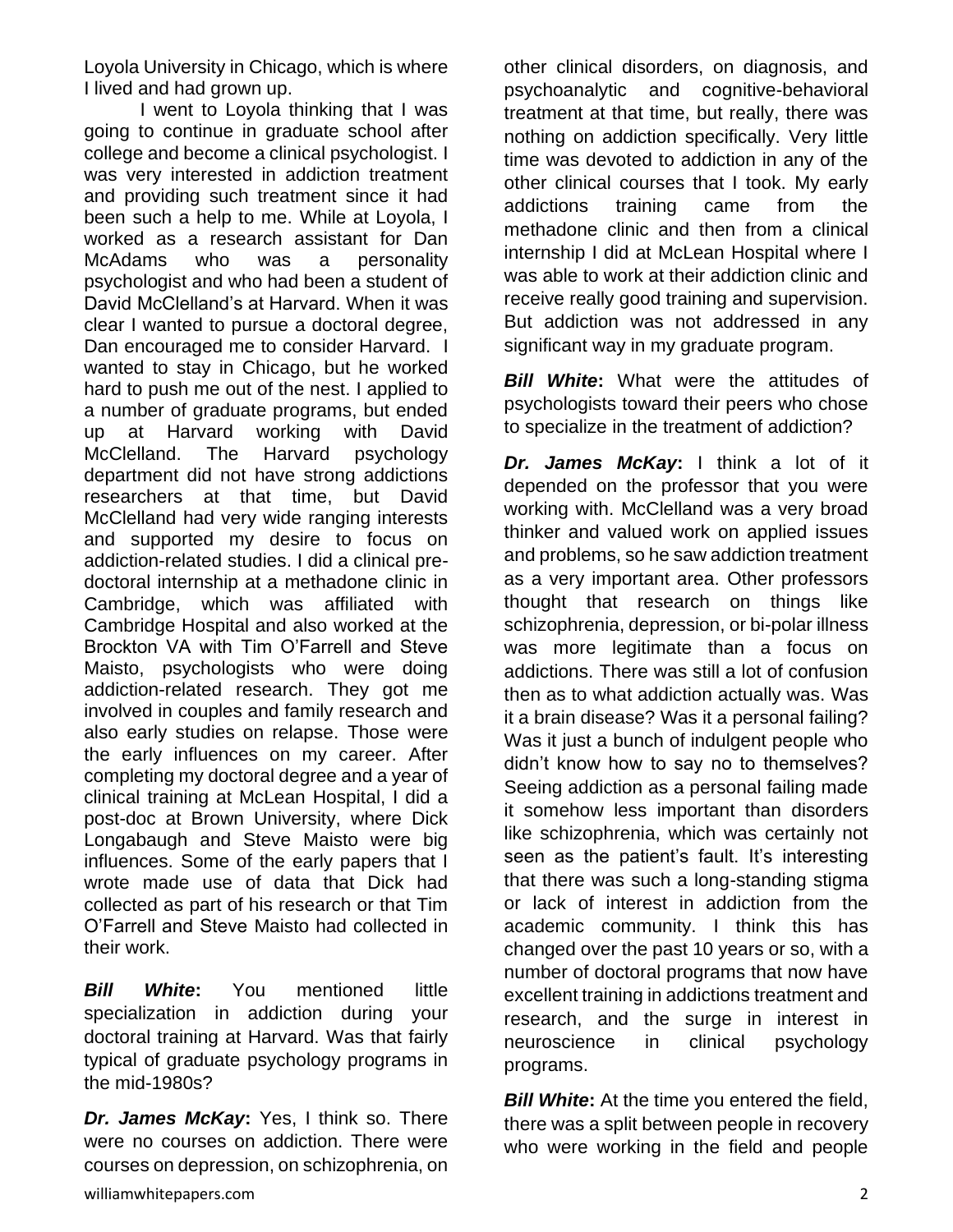Loyola University in Chicago, which is where I lived and had grown up.

I went to Loyola thinking that I was going to continue in graduate school after college and become a clinical psychologist. I was very interested in addiction treatment and providing such treatment since it had been such a help to me. While at Loyola, I worked as a research assistant for Dan McAdams who was a personality psychologist and who had been a student of David McClelland's at Harvard. When it was clear I wanted to pursue a doctoral degree, Dan encouraged me to consider Harvard. I wanted to stay in Chicago, but he worked hard to push me out of the nest. I applied to a number of graduate programs, but ended up at Harvard working with David McClelland. The Harvard psychology department did not have strong addictions researchers at that time, but David McClelland had very wide ranging interests and supported my desire to focus on addiction-related studies. I did a clinical predoctoral internship at a methadone clinic in Cambridge, which was affiliated with Cambridge Hospital and also worked at the Brockton VA with Tim O'Farrell and Steve Maisto, psychologists who were doing addiction-related research. They got me involved in couples and family research and also early studies on relapse. Those were the early influences on my career. After completing my doctoral degree and a year of clinical training at McLean Hospital, I did a post-doc at Brown University, where Dick Longabaugh and Steve Maisto were big influences. Some of the early papers that I wrote made use of data that Dick had collected as part of his research or that Tim O'Farrell and Steve Maisto had collected in their work.

*Bill White***:** You mentioned little specialization in addiction during your doctoral training at Harvard. Was that fairly typical of graduate psychology programs in the mid-1980s?

*Dr. James McKay***:** Yes, I think so. There were no courses on addiction. There were courses on depression, on schizophrenia, on

other clinical disorders, on diagnosis, and psychoanalytic and cognitive-behavioral treatment at that time, but really, there was nothing on addiction specifically. Very little time was devoted to addiction in any of the other clinical courses that I took. My early addictions training came from the methadone clinic and then from a clinical internship I did at McLean Hospital where I was able to work at their addiction clinic and receive really good training and supervision. But addiction was not addressed in any significant way in my graduate program.

**Bill White:** What were the attitudes of psychologists toward their peers who chose to specialize in the treatment of addiction?

*Dr. James McKay***:** I think a lot of it depended on the professor that you were working with. McClelland was a very broad thinker and valued work on applied issues and problems, so he saw addiction treatment as a very important area. Other professors thought that research on things like schizophrenia, depression, or bi-polar illness was more legitimate than a focus on addictions. There was still a lot of confusion then as to what addiction actually was. Was it a brain disease? Was it a personal failing? Was it just a bunch of indulgent people who didn't know how to say no to themselves? Seeing addiction as a personal failing made it somehow less important than disorders like schizophrenia, which was certainly not seen as the patient's fault. It's interesting that there was such a long-standing stigma or lack of interest in addiction from the academic community. I think this has changed over the past 10 years or so, with a number of doctoral programs that now have excellent training in addictions treatment and research, and the surge in interest in neuroscience in clinical psychology programs.

*Bill White:* At the time you entered the field, there was a split between people in recovery who were working in the field and people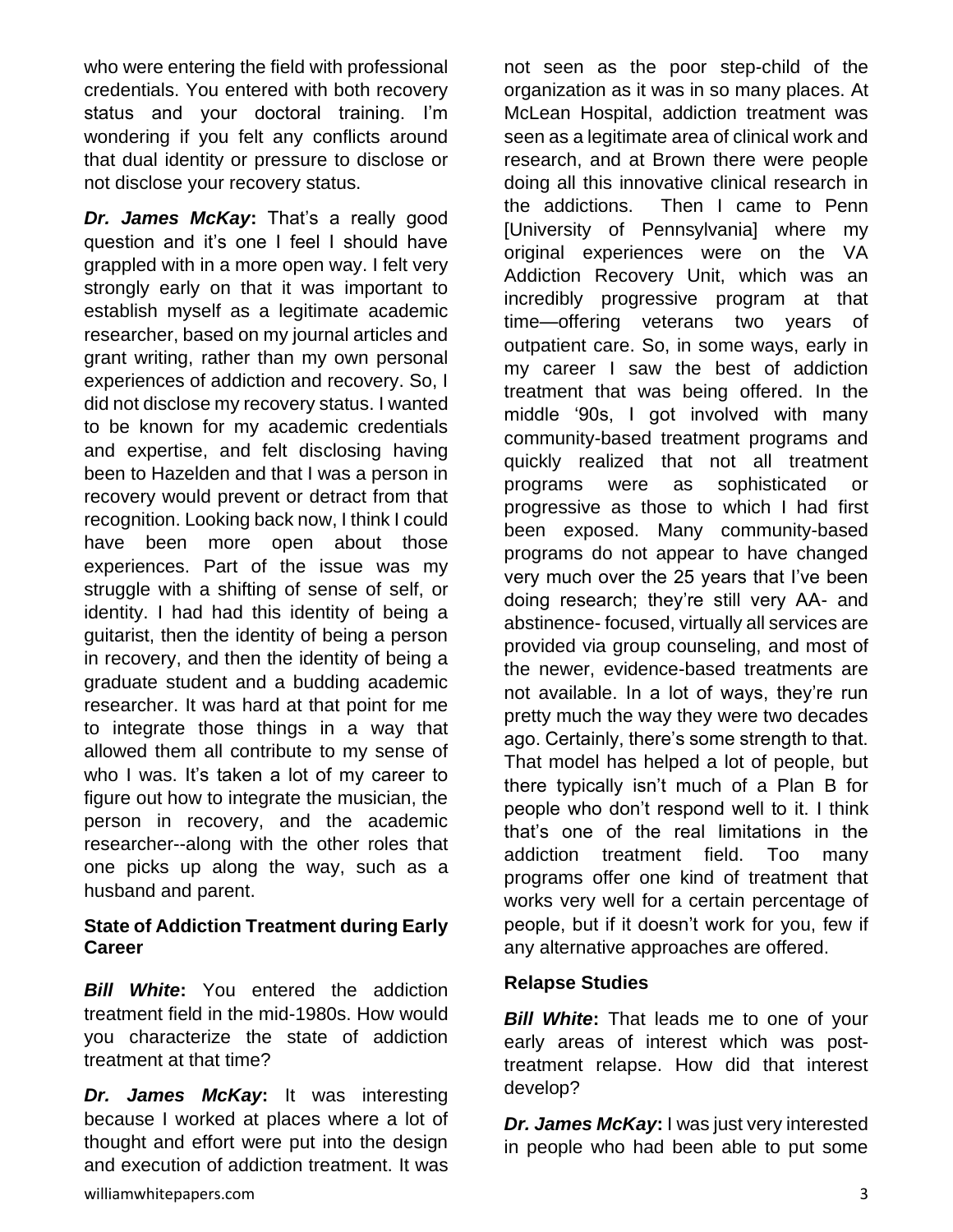who were entering the field with professional credentials. You entered with both recovery status and your doctoral training. I'm wondering if you felt any conflicts around that dual identity or pressure to disclose or not disclose your recovery status.

*Dr. James McKay***:** That's a really good question and it's one I feel I should have grappled with in a more open way. I felt very strongly early on that it was important to establish myself as a legitimate academic researcher, based on my journal articles and grant writing, rather than my own personal experiences of addiction and recovery. So, I did not disclose my recovery status. I wanted to be known for my academic credentials and expertise, and felt disclosing having been to Hazelden and that I was a person in recovery would prevent or detract from that recognition. Looking back now, I think I could have been more open about those experiences. Part of the issue was my struggle with a shifting of sense of self, or identity. I had had this identity of being a guitarist, then the identity of being a person in recovery, and then the identity of being a graduate student and a budding academic researcher. It was hard at that point for me to integrate those things in a way that allowed them all contribute to my sense of who I was. It's taken a lot of my career to figure out how to integrate the musician, the person in recovery, and the academic researcher--along with the other roles that one picks up along the way, such as a husband and parent.

#### **State of Addiction Treatment during Early Career**

*Bill White***:** You entered the addiction treatment field in the mid-1980s. How would you characterize the state of addiction treatment at that time?

*Dr. James McKay***:** It was interesting because I worked at places where a lot of thought and effort were put into the design and execution of addiction treatment. It was

not seen as the poor step-child of the organization as it was in so many places. At McLean Hospital, addiction treatment was seen as a legitimate area of clinical work and research, and at Brown there were people doing all this innovative clinical research in the addictions. Then I came to Penn [University of Pennsylvania] where my original experiences were on the VA Addiction Recovery Unit, which was an incredibly progressive program at that time—offering veterans two years of outpatient care. So, in some ways, early in my career I saw the best of addiction treatment that was being offered. In the middle '90s, I got involved with many community-based treatment programs and quickly realized that not all treatment programs were as sophisticated or progressive as those to which I had first been exposed. Many community-based programs do not appear to have changed very much over the 25 years that I've been doing research; they're still very AA- and abstinence- focused, virtually all services are provided via group counseling, and most of the newer, evidence-based treatments are not available. In a lot of ways, they're run pretty much the way they were two decades ago. Certainly, there's some strength to that. That model has helped a lot of people, but there typically isn't much of a Plan B for people who don't respond well to it. I think that's one of the real limitations in the addiction treatment field. Too many programs offer one kind of treatment that works very well for a certain percentage of people, but if it doesn't work for you, few if any alternative approaches are offered.

#### **Relapse Studies**

**Bill White:** That leads me to one of your early areas of interest which was posttreatment relapse. How did that interest develop?

*Dr. James McKay***:** I was just very interested in people who had been able to put some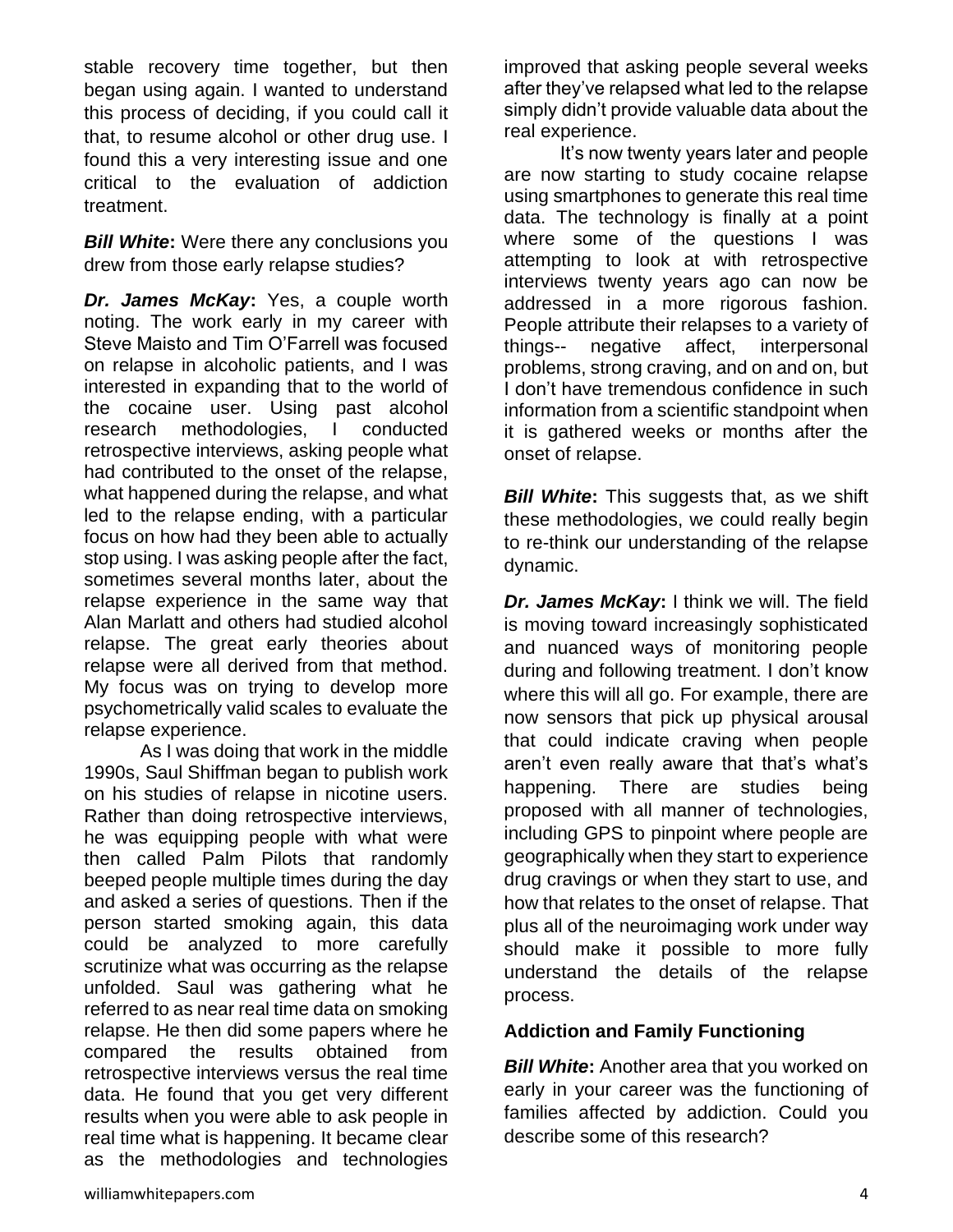stable recovery time together, but then began using again. I wanted to understand this process of deciding, if you could call it that, to resume alcohol or other drug use. I found this a very interesting issue and one critical to the evaluation of addiction treatment.

*Bill White***:** Were there any conclusions you drew from those early relapse studies?

*Dr. James McKay***:** Yes, a couple worth noting. The work early in my career with Steve Maisto and Tim O'Farrell was focused on relapse in alcoholic patients, and I was interested in expanding that to the world of the cocaine user. Using past alcohol research methodologies, I conducted retrospective interviews, asking people what had contributed to the onset of the relapse, what happened during the relapse, and what led to the relapse ending, with a particular focus on how had they been able to actually stop using. I was asking people after the fact, sometimes several months later, about the relapse experience in the same way that Alan Marlatt and others had studied alcohol relapse. The great early theories about relapse were all derived from that method. My focus was on trying to develop more psychometrically valid scales to evaluate the relapse experience.

As I was doing that work in the middle 1990s, Saul Shiffman began to publish work on his studies of relapse in nicotine users. Rather than doing retrospective interviews, he was equipping people with what were then called Palm Pilots that randomly beeped people multiple times during the day and asked a series of questions. Then if the person started smoking again, this data could be analyzed to more carefully scrutinize what was occurring as the relapse unfolded. Saul was gathering what he referred to as near real time data on smoking relapse. He then did some papers where he compared the results obtained from retrospective interviews versus the real time data. He found that you get very different results when you were able to ask people in real time what is happening. It became clear as the methodologies and technologies

improved that asking people several weeks after they've relapsed what led to the relapse simply didn't provide valuable data about the real experience.

It's now twenty years later and people are now starting to study cocaine relapse using smartphones to generate this real time data. The technology is finally at a point where some of the questions I was attempting to look at with retrospective interviews twenty years ago can now be addressed in a more rigorous fashion. People attribute their relapses to a variety of things-- negative affect, interpersonal problems, strong craving, and on and on, but I don't have tremendous confidence in such information from a scientific standpoint when it is gathered weeks or months after the onset of relapse.

**Bill White:** This suggests that, as we shift these methodologies, we could really begin to re-think our understanding of the relapse dynamic.

*Dr. James McKay*: I think we will. The field is moving toward increasingly sophisticated and nuanced ways of monitoring people during and following treatment. I don't know where this will all go. For example, there are now sensors that pick up physical arousal that could indicate craving when people aren't even really aware that that's what's happening. There are studies being proposed with all manner of technologies, including GPS to pinpoint where people are geographically when they start to experience drug cravings or when they start to use, and how that relates to the onset of relapse. That plus all of the neuroimaging work under way should make it possible to more fully understand the details of the relapse process.

#### **Addiction and Family Functioning**

*Bill White***:** Another area that you worked on early in your career was the functioning of families affected by addiction. Could you describe some of this research?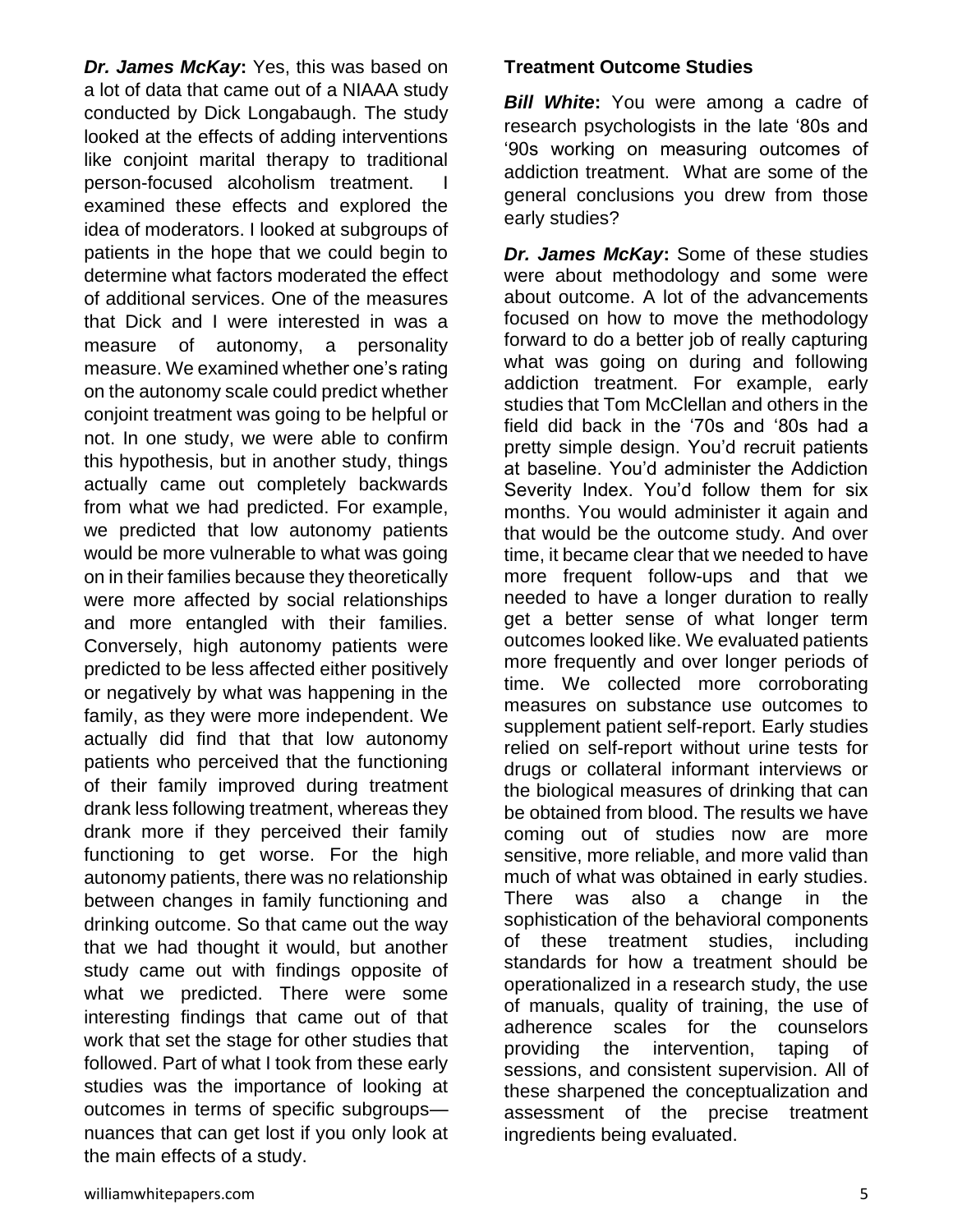*Dr. James McKay***:** Yes, this was based on a lot of data that came out of a NIAAA study conducted by Dick Longabaugh. The study looked at the effects of adding interventions like conjoint marital therapy to traditional person-focused alcoholism treatment. examined these effects and explored the idea of moderators. I looked at subgroups of patients in the hope that we could begin to determine what factors moderated the effect of additional services. One of the measures that Dick and I were interested in was a measure of autonomy, a personality measure. We examined whether one's rating on the autonomy scale could predict whether conjoint treatment was going to be helpful or not. In one study, we were able to confirm this hypothesis, but in another study, things actually came out completely backwards from what we had predicted. For example, we predicted that low autonomy patients would be more vulnerable to what was going on in their families because they theoretically were more affected by social relationships and more entangled with their families. Conversely, high autonomy patients were predicted to be less affected either positively or negatively by what was happening in the family, as they were more independent. We actually did find that that low autonomy patients who perceived that the functioning of their family improved during treatment drank less following treatment, whereas they drank more if they perceived their family functioning to get worse. For the high autonomy patients, there was no relationship between changes in family functioning and drinking outcome. So that came out the way that we had thought it would, but another study came out with findings opposite of what we predicted. There were some interesting findings that came out of that work that set the stage for other studies that followed. Part of what I took from these early studies was the importance of looking at outcomes in terms of specific subgroups nuances that can get lost if you only look at the main effects of a study.

#### **Treatment Outcome Studies**

*Bill White*: You were among a cadre of research psychologists in the late '80s and '90s working on measuring outcomes of addiction treatment. What are some of the general conclusions you drew from those early studies?

*Dr. James McKay***:** Some of these studies were about methodology and some were about outcome. A lot of the advancements focused on how to move the methodology forward to do a better job of really capturing what was going on during and following addiction treatment. For example, early studies that Tom McClellan and others in the field did back in the '70s and '80s had a pretty simple design. You'd recruit patients at baseline. You'd administer the Addiction Severity Index. You'd follow them for six months. You would administer it again and that would be the outcome study. And over time, it became clear that we needed to have more frequent follow-ups and that we needed to have a longer duration to really get a better sense of what longer term outcomes looked like. We evaluated patients more frequently and over longer periods of time. We collected more corroborating measures on substance use outcomes to supplement patient self-report. Early studies relied on self-report without urine tests for drugs or collateral informant interviews or the biological measures of drinking that can be obtained from blood. The results we have coming out of studies now are more sensitive, more reliable, and more valid than much of what was obtained in early studies. There was also a change in the sophistication of the behavioral components of these treatment studies, including standards for how a treatment should be operationalized in a research study, the use of manuals, quality of training, the use of adherence scales for the counselors providing the intervention, taping of sessions, and consistent supervision. All of these sharpened the conceptualization and assessment of the precise treatment ingredients being evaluated.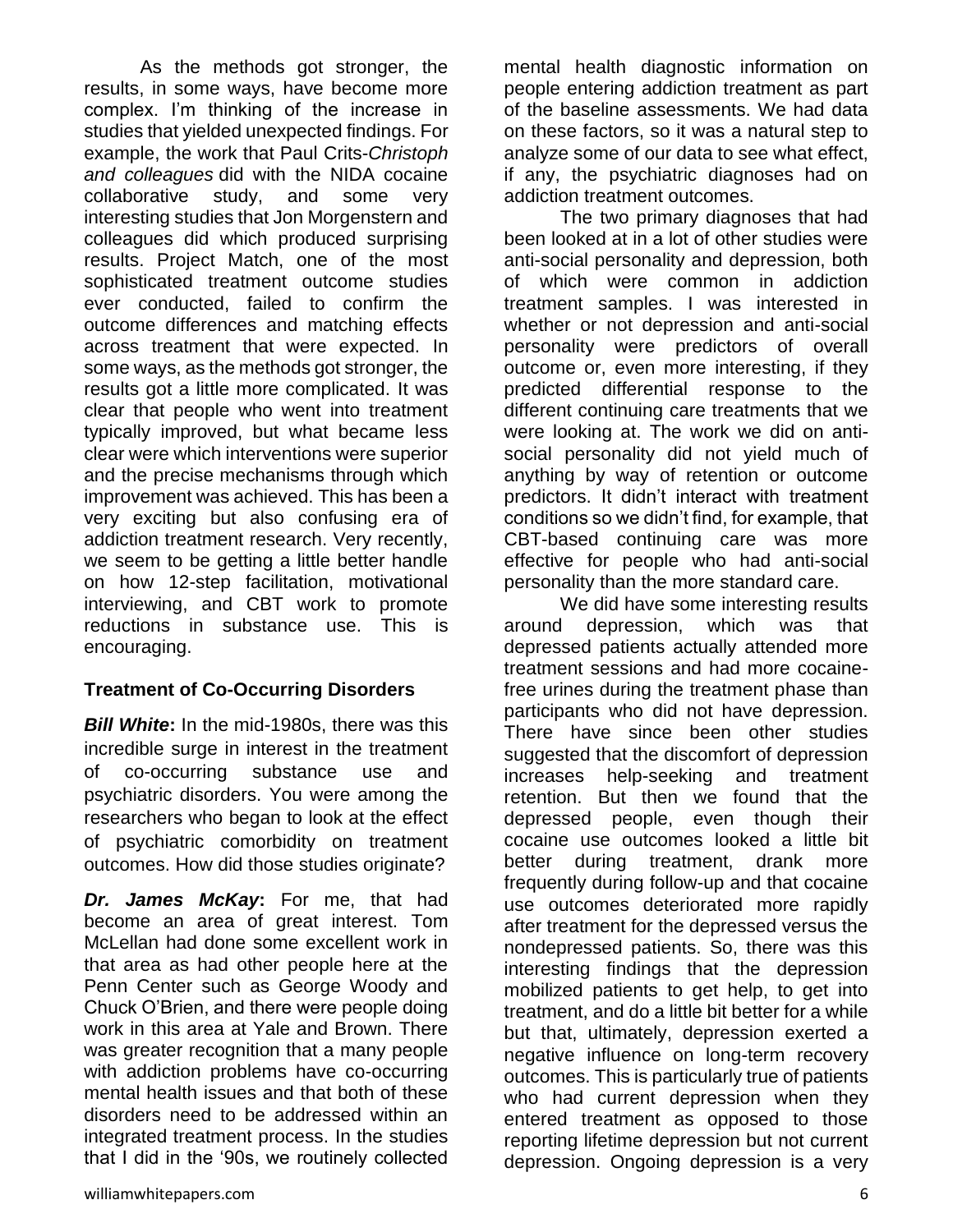As the methods got stronger, the results, in some ways, have become more complex. I'm thinking of the increase in studies that yielded unexpected findings. For example, the work that Paul Crits-*Christoph and colleagues* did with the NIDA cocaine collaborative study, and some very interesting studies that Jon Morgenstern and colleagues did which produced surprising results. Project Match, one of the most sophisticated treatment outcome studies ever conducted, failed to confirm the outcome differences and matching effects across treatment that were expected. In some ways, as the methods got stronger, the results got a little more complicated. It was clear that people who went into treatment typically improved, but what became less clear were which interventions were superior and the precise mechanisms through which improvement was achieved. This has been a very exciting but also confusing era of addiction treatment research. Very recently, we seem to be getting a little better handle on how 12-step facilitation, motivational interviewing, and CBT work to promote reductions in substance use. This is encouraging.

#### **Treatment of Co-Occurring Disorders**

*Bill White***:** In the mid-1980s, there was this incredible surge in interest in the treatment of co-occurring substance use and psychiatric disorders. You were among the researchers who began to look at the effect of psychiatric comorbidity on treatment outcomes. How did those studies originate?

*Dr. James McKay***:** For me, that had become an area of great interest. Tom McLellan had done some excellent work in that area as had other people here at the Penn Center such as George Woody and Chuck O'Brien, and there were people doing work in this area at Yale and Brown. There was greater recognition that a many people with addiction problems have co-occurring mental health issues and that both of these disorders need to be addressed within an integrated treatment process. In the studies that I did in the '90s, we routinely collected

mental health diagnostic information on people entering addiction treatment as part of the baseline assessments. We had data on these factors, so it was a natural step to analyze some of our data to see what effect, if any, the psychiatric diagnoses had on addiction treatment outcomes.

The two primary diagnoses that had been looked at in a lot of other studies were anti-social personality and depression, both of which were common in addiction treatment samples. I was interested in whether or not depression and anti-social personality were predictors of overall outcome or, even more interesting, if they predicted differential response to the different continuing care treatments that we were looking at. The work we did on antisocial personality did not yield much of anything by way of retention or outcome predictors. It didn't interact with treatment conditions so we didn't find, for example, that CBT-based continuing care was more effective for people who had anti-social personality than the more standard care.

We did have some interesting results around depression, which was that depressed patients actually attended more treatment sessions and had more cocainefree urines during the treatment phase than participants who did not have depression. There have since been other studies suggested that the discomfort of depression increases help-seeking and treatment retention. But then we found that the depressed people, even though their cocaine use outcomes looked a little bit better during treatment, drank more frequently during follow-up and that cocaine use outcomes deteriorated more rapidly after treatment for the depressed versus the nondepressed patients. So, there was this interesting findings that the depression mobilized patients to get help, to get into treatment, and do a little bit better for a while but that, ultimately, depression exerted a negative influence on long-term recovery outcomes. This is particularly true of patients who had current depression when they entered treatment as opposed to those reporting lifetime depression but not current depression. Ongoing depression is a very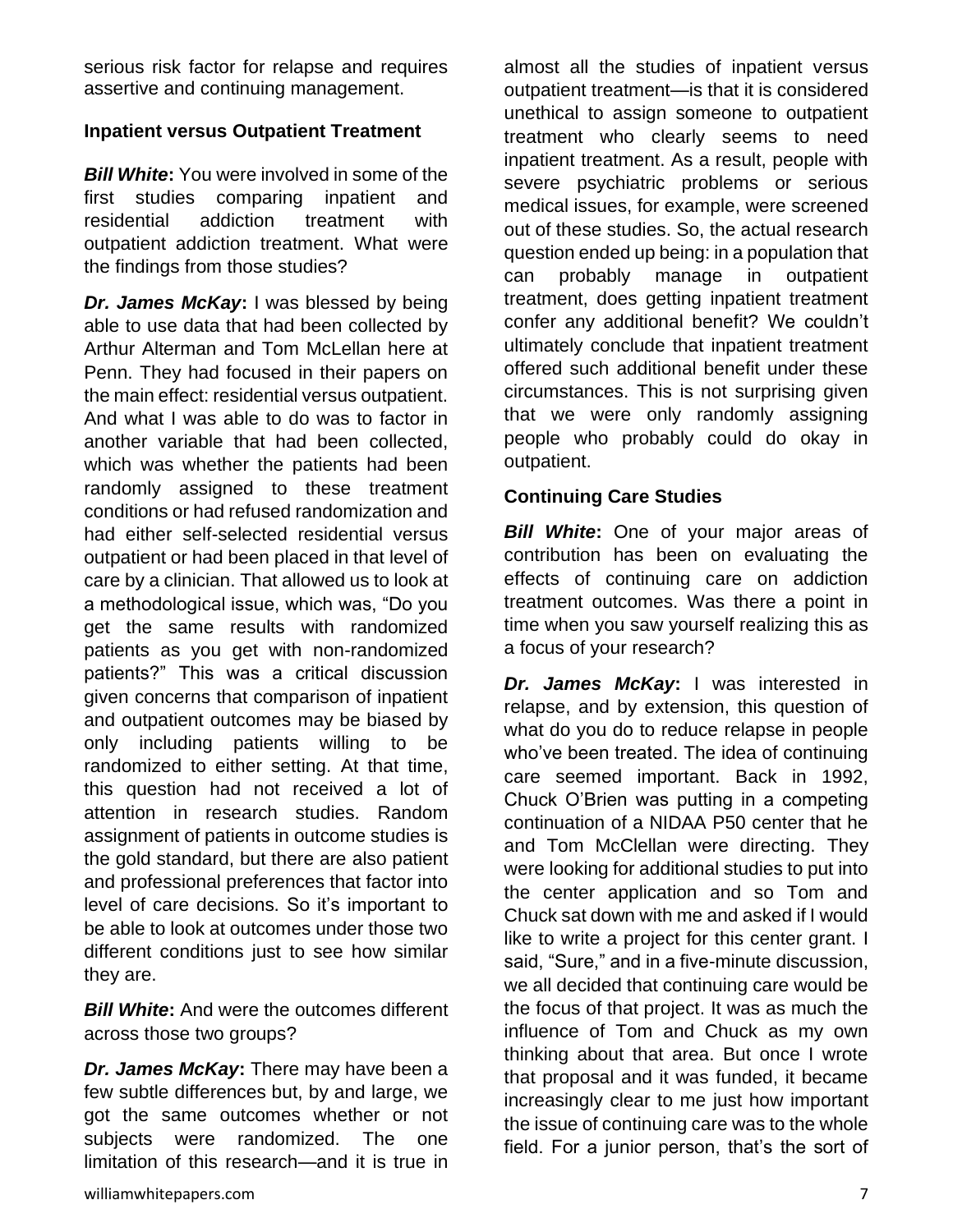serious risk factor for relapse and requires assertive and continuing management.

#### **Inpatient versus Outpatient Treatment**

*Bill White***:** You were involved in some of the first studies comparing inpatient and residential addiction treatment with outpatient addiction treatment. What were the findings from those studies?

*Dr. James McKay***:** I was blessed by being able to use data that had been collected by Arthur Alterman and Tom McLellan here at Penn. They had focused in their papers on the main effect: residential versus outpatient. And what I was able to do was to factor in another variable that had been collected, which was whether the patients had been randomly assigned to these treatment conditions or had refused randomization and had either self-selected residential versus outpatient or had been placed in that level of care by a clinician. That allowed us to look at a methodological issue, which was, "Do you get the same results with randomized patients as you get with non-randomized patients?" This was a critical discussion given concerns that comparison of inpatient and outpatient outcomes may be biased by only including patients willing to be randomized to either setting. At that time, this question had not received a lot of attention in research studies. Random assignment of patients in outcome studies is the gold standard, but there are also patient and professional preferences that factor into level of care decisions. So it's important to be able to look at outcomes under those two different conditions just to see how similar they are.

*Bill White***:** And were the outcomes different across those two groups?

*Dr. James McKay***:** There may have been a few subtle differences but, by and large, we got the same outcomes whether or not subjects were randomized. The one limitation of this research—and it is true in

almost all the studies of inpatient versus outpatient treatment—is that it is considered unethical to assign someone to outpatient treatment who clearly seems to need inpatient treatment. As a result, people with severe psychiatric problems or serious medical issues, for example, were screened out of these studies. So, the actual research question ended up being: in a population that can probably manage in outpatient treatment, does getting inpatient treatment confer any additional benefit? We couldn't ultimately conclude that inpatient treatment offered such additional benefit under these circumstances. This is not surprising given that we were only randomly assigning people who probably could do okay in outpatient.

#### **Continuing Care Studies**

*Bill White***:** One of your major areas of contribution has been on evaluating the effects of continuing care on addiction treatment outcomes. Was there a point in time when you saw yourself realizing this as a focus of your research?

*Dr. James McKay***:** I was interested in relapse, and by extension, this question of what do you do to reduce relapse in people who've been treated. The idea of continuing care seemed important. Back in 1992, Chuck O'Brien was putting in a competing continuation of a NIDAA P50 center that he and Tom McClellan were directing. They were looking for additional studies to put into the center application and so Tom and Chuck sat down with me and asked if I would like to write a project for this center grant. I said, "Sure," and in a five-minute discussion, we all decided that continuing care would be the focus of that project. It was as much the influence of Tom and Chuck as my own thinking about that area. But once I wrote that proposal and it was funded, it became increasingly clear to me just how important the issue of continuing care was to the whole field. For a junior person, that's the sort of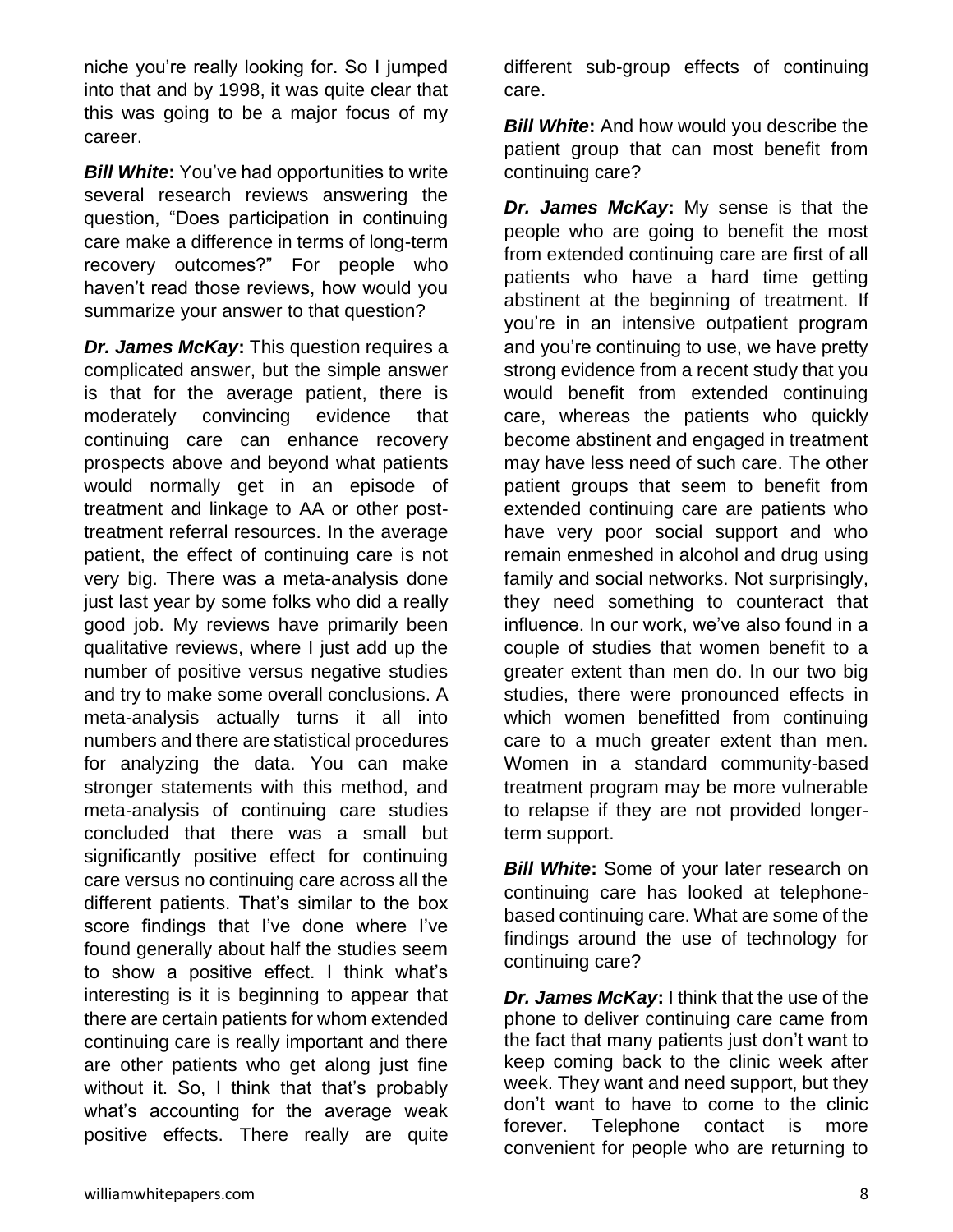niche you're really looking for. So I jumped into that and by 1998, it was quite clear that this was going to be a major focus of my career.

*Bill White***:** You've had opportunities to write several research reviews answering the question, "Does participation in continuing care make a difference in terms of long-term recovery outcomes?" For people who haven't read those reviews, how would you summarize your answer to that question?

*Dr. James McKay***:** This question requires a complicated answer, but the simple answer is that for the average patient, there is moderately convincing evidence that continuing care can enhance recovery prospects above and beyond what patients would normally get in an episode of treatment and linkage to AA or other posttreatment referral resources. In the average patient, the effect of continuing care is not very big. There was a meta-analysis done just last year by some folks who did a really good job. My reviews have primarily been qualitative reviews, where I just add up the number of positive versus negative studies and try to make some overall conclusions. A meta-analysis actually turns it all into numbers and there are statistical procedures for analyzing the data. You can make stronger statements with this method, and meta-analysis of continuing care studies concluded that there was a small but significantly positive effect for continuing care versus no continuing care across all the different patients. That's similar to the box score findings that I've done where I've found generally about half the studies seem to show a positive effect. I think what's interesting is it is beginning to appear that there are certain patients for whom extended continuing care is really important and there are other patients who get along just fine without it. So, I think that that's probably what's accounting for the average weak positive effects. There really are quite

different sub-group effects of continuing care.

*Bill White***:** And how would you describe the patient group that can most benefit from continuing care?

*Dr. James McKay***:** My sense is that the people who are going to benefit the most from extended continuing care are first of all patients who have a hard time getting abstinent at the beginning of treatment. If you're in an intensive outpatient program and you're continuing to use, we have pretty strong evidence from a recent study that you would benefit from extended continuing care, whereas the patients who quickly become abstinent and engaged in treatment may have less need of such care. The other patient groups that seem to benefit from extended continuing care are patients who have very poor social support and who remain enmeshed in alcohol and drug using family and social networks. Not surprisingly, they need something to counteract that influence. In our work, we've also found in a couple of studies that women benefit to a greater extent than men do. In our two big studies, there were pronounced effects in which women benefitted from continuing care to a much greater extent than men. Women in a standard community-based treatment program may be more vulnerable to relapse if they are not provided longerterm support.

**Bill White:** Some of your later research on continuing care has looked at telephonebased continuing care. What are some of the findings around the use of technology for continuing care?

*Dr. James McKay***:** I think that the use of the phone to deliver continuing care came from the fact that many patients just don't want to keep coming back to the clinic week after week. They want and need support, but they don't want to have to come to the clinic forever. Telephone contact is more convenient for people who are returning to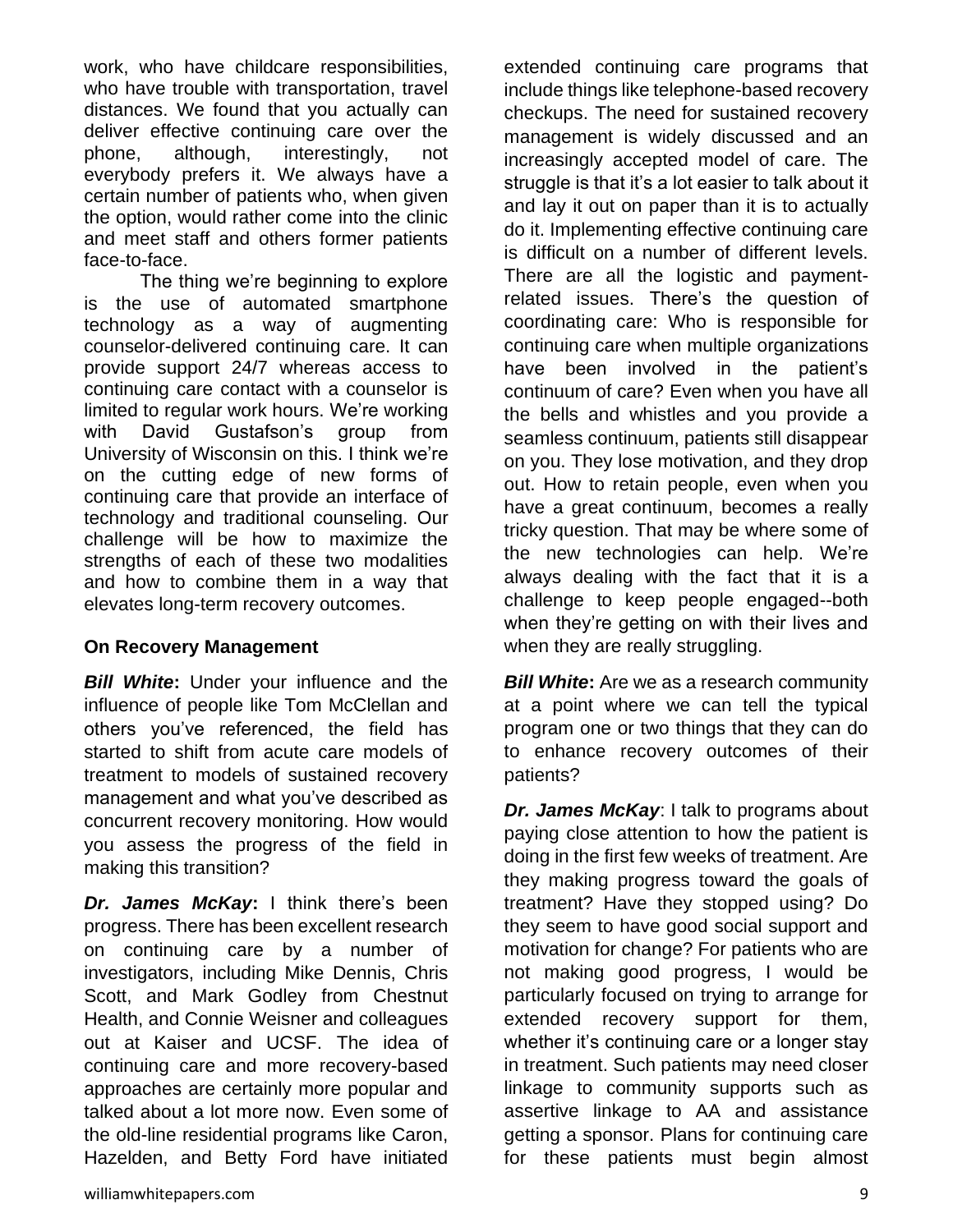work, who have childcare responsibilities, who have trouble with transportation, travel distances. We found that you actually can deliver effective continuing care over the phone, although, interestingly, not everybody prefers it. We always have a certain number of patients who, when given the option, would rather come into the clinic and meet staff and others former patients face-to-face.

The thing we're beginning to explore is the use of automated smartphone technology as a way of augmenting counselor-delivered continuing care. It can provide support 24/7 whereas access to continuing care contact with a counselor is limited to regular work hours. We're working with David Gustafson's group from University of Wisconsin on this. I think we're on the cutting edge of new forms of continuing care that provide an interface of technology and traditional counseling. Our challenge will be how to maximize the strengths of each of these two modalities and how to combine them in a way that elevates long-term recovery outcomes.

#### **On Recovery Management**

*Bill White***:** Under your influence and the influence of people like Tom McClellan and others you've referenced, the field has started to shift from acute care models of treatment to models of sustained recovery management and what you've described as concurrent recovery monitoring. How would you assess the progress of the field in making this transition?

*Dr. James McKay***:** I think there's been progress. There has been excellent research on continuing care by a number of investigators, including Mike Dennis, Chris Scott, and Mark Godley from Chestnut Health, and Connie Weisner and colleagues out at Kaiser and UCSF. The idea of continuing care and more recovery-based approaches are certainly more popular and talked about a lot more now. Even some of the old-line residential programs like Caron, Hazelden, and Betty Ford have initiated extended continuing care programs that include things like telephone-based recovery checkups. The need for sustained recovery management is widely discussed and an increasingly accepted model of care. The struggle is that it's a lot easier to talk about it and lay it out on paper than it is to actually do it. Implementing effective continuing care is difficult on a number of different levels. There are all the logistic and paymentrelated issues. There's the question of coordinating care: Who is responsible for continuing care when multiple organizations have been involved in the patient's continuum of care? Even when you have all the bells and whistles and you provide a seamless continuum, patients still disappear on you. They lose motivation, and they drop out. How to retain people, even when you have a great continuum, becomes a really tricky question. That may be where some of the new technologies can help. We're always dealing with the fact that it is a challenge to keep people engaged--both when they're getting on with their lives and when they are really struggling.

*Bill White:* Are we as a research community at a point where we can tell the typical program one or two things that they can do to enhance recovery outcomes of their patients?

*Dr. James McKay*: I talk to programs about paying close attention to how the patient is doing in the first few weeks of treatment. Are they making progress toward the goals of treatment? Have they stopped using? Do they seem to have good social support and motivation for change? For patients who are not making good progress, I would be particularly focused on trying to arrange for extended recovery support for them, whether it's continuing care or a longer stay in treatment. Such patients may need closer linkage to community supports such as assertive linkage to AA and assistance getting a sponsor. Plans for continuing care for these patients must begin almost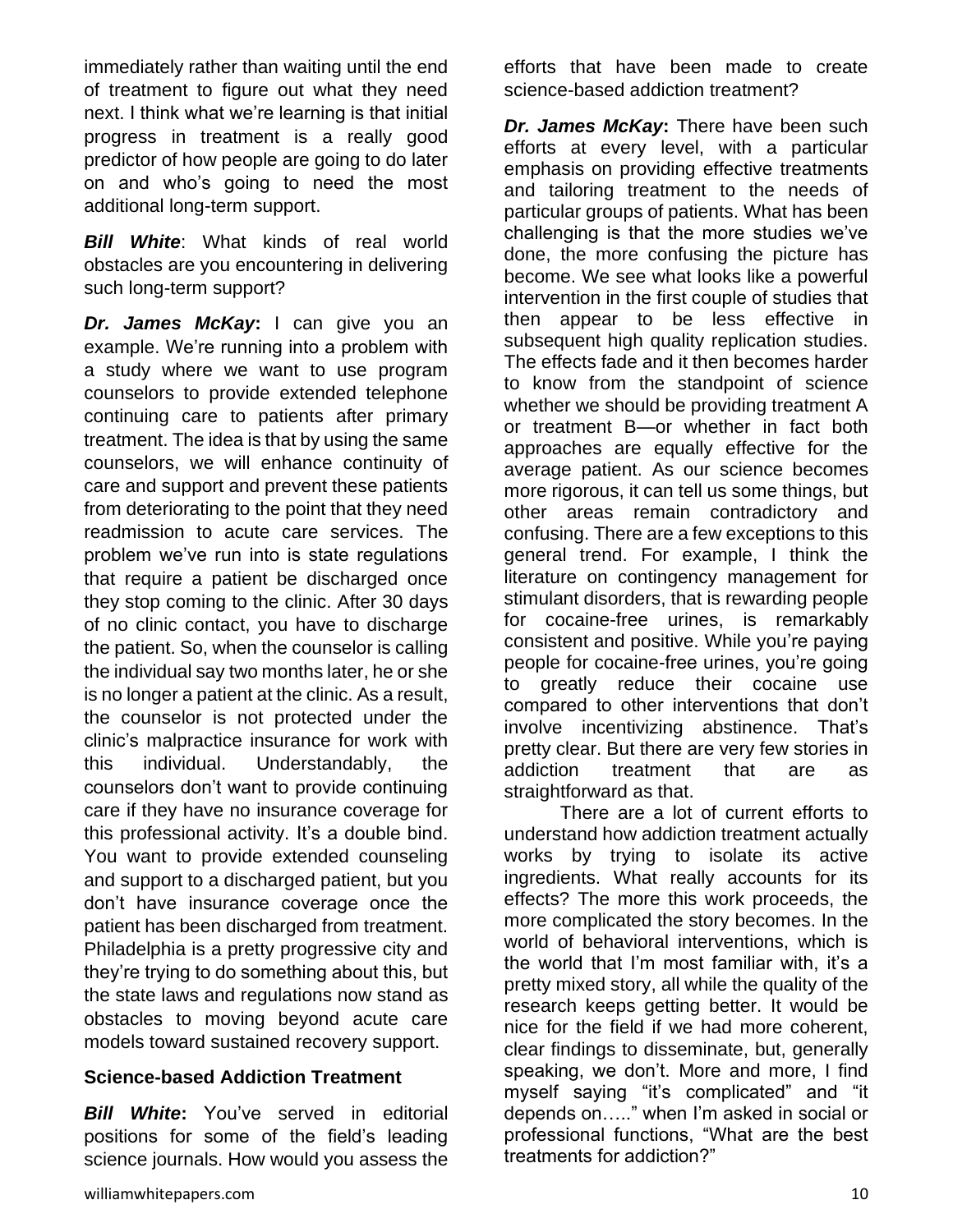immediately rather than waiting until the end of treatment to figure out what they need next. I think what we're learning is that initial progress in treatment is a really good predictor of how people are going to do later on and who's going to need the most additional long-term support.

*Bill White*: What kinds of real world obstacles are you encountering in delivering such long-term support?

*Dr. James McKay***:** I can give you an example. We're running into a problem with a study where we want to use program counselors to provide extended telephone continuing care to patients after primary treatment. The idea is that by using the same counselors, we will enhance continuity of care and support and prevent these patients from deteriorating to the point that they need readmission to acute care services. The problem we've run into is state regulations that require a patient be discharged once they stop coming to the clinic. After 30 days of no clinic contact, you have to discharge the patient. So, when the counselor is calling the individual say two months later, he or she is no longer a patient at the clinic. As a result, the counselor is not protected under the clinic's malpractice insurance for work with this individual. Understandably, the counselors don't want to provide continuing care if they have no insurance coverage for this professional activity. It's a double bind. You want to provide extended counseling and support to a discharged patient, but you don't have insurance coverage once the patient has been discharged from treatment. Philadelphia is a pretty progressive city and they're trying to do something about this, but the state laws and regulations now stand as obstacles to moving beyond acute care models toward sustained recovery support.

#### **Science-based Addiction Treatment**

*Bill White***:** You've served in editorial positions for some of the field's leading science journals. How would you assess the efforts that have been made to create science-based addiction treatment?

*Dr. James McKay***:** There have been such efforts at every level, with a particular emphasis on providing effective treatments and tailoring treatment to the needs of particular groups of patients. What has been challenging is that the more studies we've done, the more confusing the picture has become. We see what looks like a powerful intervention in the first couple of studies that then appear to be less effective in subsequent high quality replication studies. The effects fade and it then becomes harder to know from the standpoint of science whether we should be providing treatment A or treatment B—or whether in fact both approaches are equally effective for the average patient. As our science becomes more rigorous, it can tell us some things, but other areas remain contradictory and confusing. There are a few exceptions to this general trend. For example, I think the literature on contingency management for stimulant disorders, that is rewarding people for cocaine-free urines, is remarkably consistent and positive. While you're paying people for cocaine-free urines, you're going to greatly reduce their cocaine use compared to other interventions that don't involve incentivizing abstinence. That's pretty clear. But there are very few stories in addiction treatment that are as straightforward as that.

There are a lot of current efforts to understand how addiction treatment actually works by trying to isolate its active ingredients. What really accounts for its effects? The more this work proceeds, the more complicated the story becomes. In the world of behavioral interventions, which is the world that I'm most familiar with, it's a pretty mixed story, all while the quality of the research keeps getting better. It would be nice for the field if we had more coherent, clear findings to disseminate, but, generally speaking, we don't. More and more, I find myself saying "it's complicated" and "it depends on….." when I'm asked in social or professional functions, "What are the best treatments for addiction?"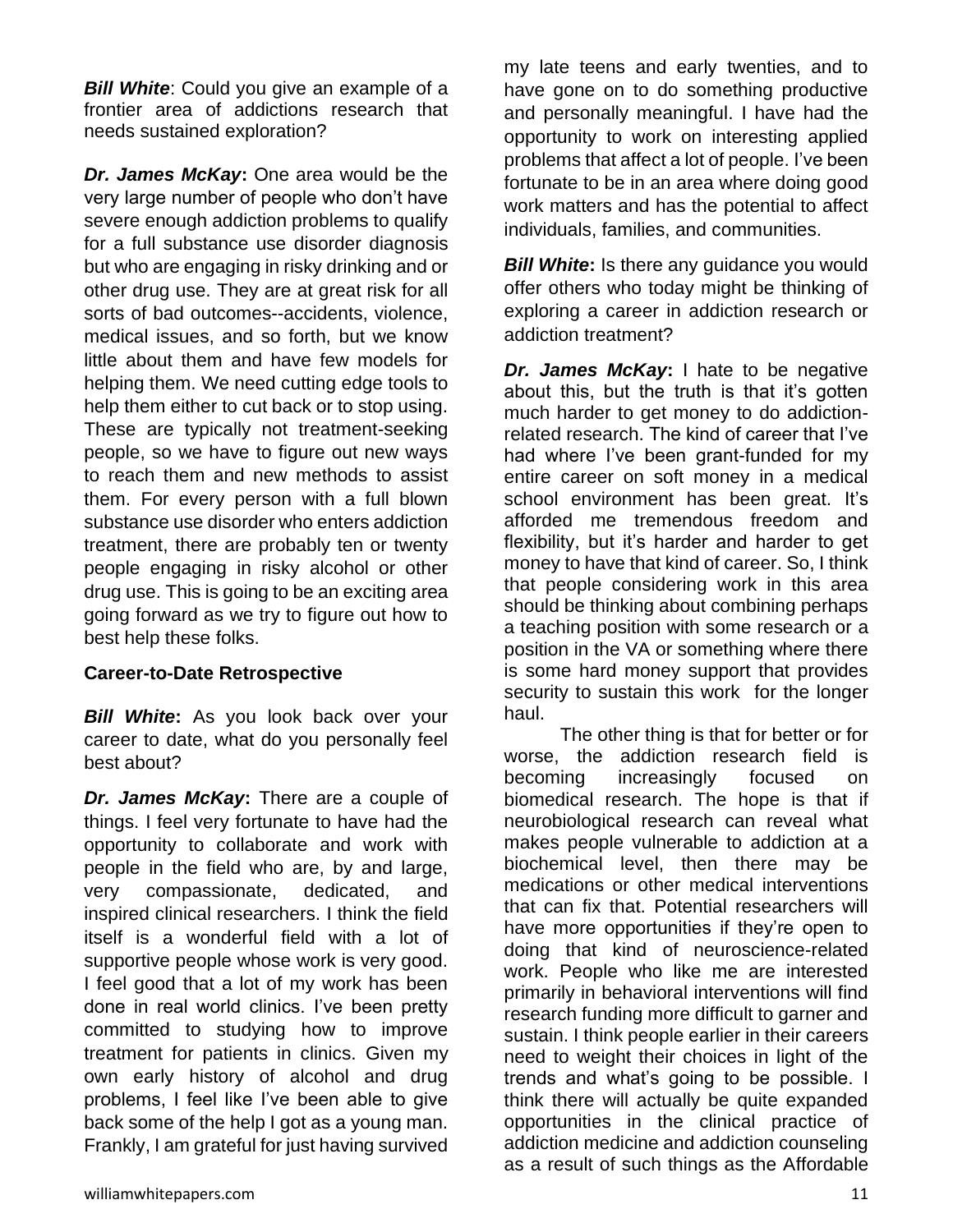**Bill White:** Could you give an example of a frontier area of addictions research that needs sustained exploration?

*Dr. James McKay***:** One area would be the very large number of people who don't have severe enough addiction problems to qualify for a full substance use disorder diagnosis but who are engaging in risky drinking and or other drug use. They are at great risk for all sorts of bad outcomes--accidents, violence, medical issues, and so forth, but we know little about them and have few models for helping them. We need cutting edge tools to help them either to cut back or to stop using. These are typically not treatment-seeking people, so we have to figure out new ways to reach them and new methods to assist them. For every person with a full blown substance use disorder who enters addiction treatment, there are probably ten or twenty people engaging in risky alcohol or other drug use. This is going to be an exciting area going forward as we try to figure out how to best help these folks.

#### **Career-to-Date Retrospective**

*Bill White***:** As you look back over your career to date, what do you personally feel best about?

*Dr. James McKay***:** There are a couple of things. I feel very fortunate to have had the opportunity to collaborate and work with people in the field who are, by and large, very compassionate, dedicated, and inspired clinical researchers. I think the field itself is a wonderful field with a lot of supportive people whose work is very good. I feel good that a lot of my work has been done in real world clinics. I've been pretty committed to studying how to improve treatment for patients in clinics. Given my own early history of alcohol and drug problems, I feel like I've been able to give back some of the help I got as a young man. Frankly, I am grateful for just having survived

my late teens and early twenties, and to have gone on to do something productive and personally meaningful. I have had the opportunity to work on interesting applied problems that affect a lot of people. I've been fortunate to be in an area where doing good work matters and has the potential to affect individuals, families, and communities.

**Bill White:** Is there any guidance you would offer others who today might be thinking of exploring a career in addiction research or addiction treatment?

*Dr. James McKay***: I hate to be negative** about this, but the truth is that it's gotten much harder to get money to do addictionrelated research. The kind of career that I've had where I've been grant-funded for my entire career on soft money in a medical school environment has been great. It's afforded me tremendous freedom and flexibility, but it's harder and harder to get money to have that kind of career. So, I think that people considering work in this area should be thinking about combining perhaps a teaching position with some research or a position in the VA or something where there is some hard money support that provides security to sustain this work for the longer haul.

The other thing is that for better or for worse, the addiction research field is becoming increasingly focused on biomedical research. The hope is that if neurobiological research can reveal what makes people vulnerable to addiction at a biochemical level, then there may be medications or other medical interventions that can fix that. Potential researchers will have more opportunities if they're open to doing that kind of neuroscience-related work. People who like me are interested primarily in behavioral interventions will find research funding more difficult to garner and sustain. I think people earlier in their careers need to weight their choices in light of the trends and what's going to be possible. I think there will actually be quite expanded opportunities in the clinical practice of addiction medicine and addiction counseling as a result of such things as the Affordable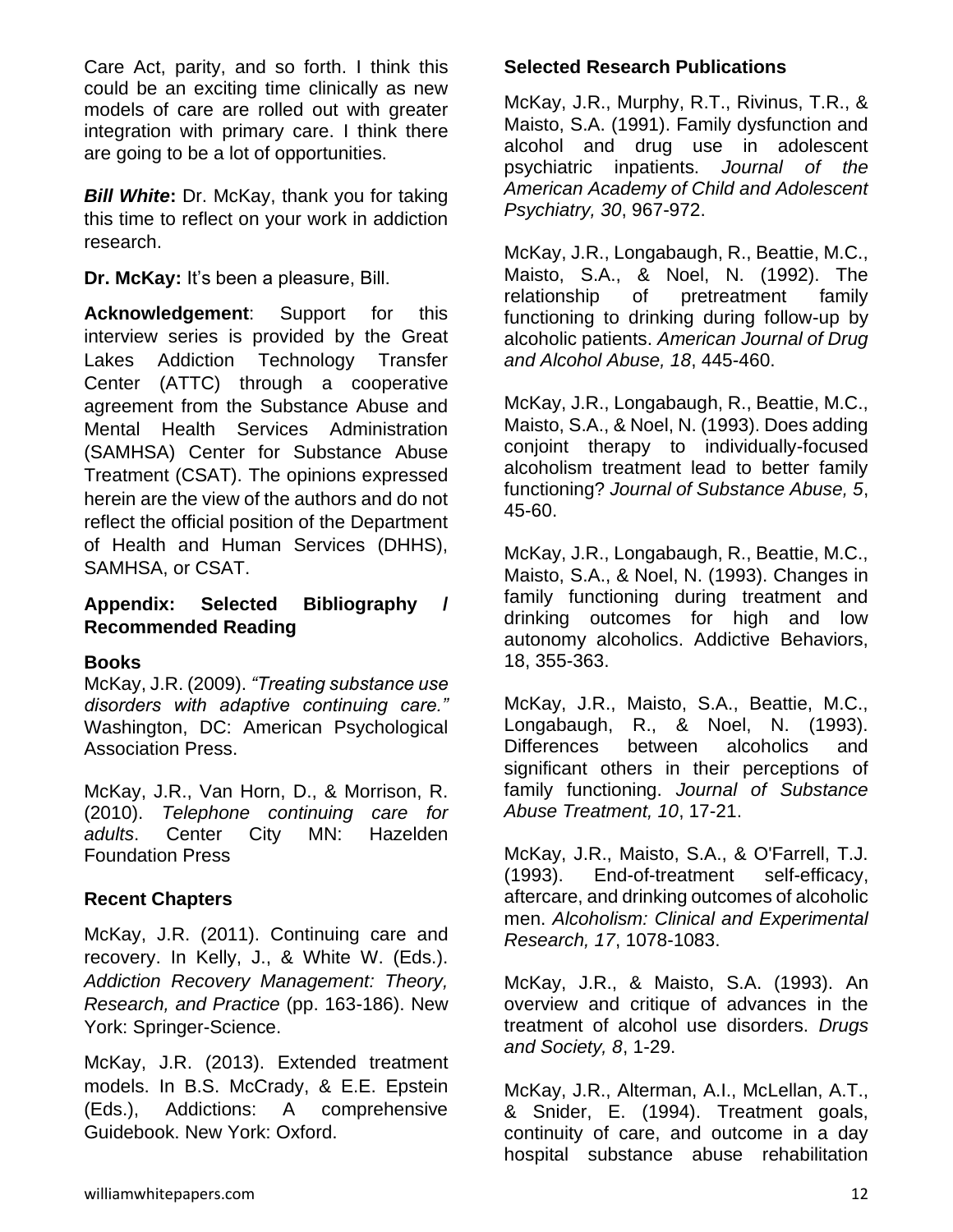Care Act, parity, and so forth. I think this could be an exciting time clinically as new models of care are rolled out with greater integration with primary care. I think there are going to be a lot of opportunities.

*Bill White***:** Dr. McKay, thank you for taking this time to reflect on your work in addiction research.

**Dr. McKay:** It's been a pleasure, Bill.

**Acknowledgement**: Support for this interview series is provided by the Great Lakes Addiction Technology Transfer Center (ATTC) through a cooperative agreement from the Substance Abuse and Mental Health Services Administration (SAMHSA) Center for Substance Abuse Treatment (CSAT). The opinions expressed herein are the view of the authors and do not reflect the official position of the Department of Health and Human Services (DHHS), SAMHSA, or CSAT.

#### **Appendix: Selected Bibliography / Recommended Reading**

#### **Books**

McKay, J.R. (2009). *"Treating substance use disorders with adaptive continuing care."* Washington, DC: American Psychological Association Press.

McKay, J.R., Van Horn, D., & Morrison, R. (2010). *Telephone continuing care for adults*. Center City MN: Hazelden Foundation Press

#### **Recent Chapters**

McKay, J.R. (2011). Continuing care and recovery. In Kelly, J., & White W. (Eds.). *Addiction Recovery Management: Theory, Research, and Practice* (pp. 163-186). New York: Springer-Science.

McKay, J.R. (2013). Extended treatment models. In B.S. McCrady, & E.E. Epstein (Eds.), Addictions: A comprehensive Guidebook. New York: Oxford.

#### **Selected Research Publications**

McKay, J.R., Murphy, R.T., Rivinus, T.R., & Maisto, S.A. (1991). Family dysfunction and alcohol and drug use in adolescent psychiatric inpatients. *Journal of the American Academy of Child and Adolescent Psychiatry, 30*, 967-972.

McKay, J.R., Longabaugh, R., Beattie, M.C., Maisto, S.A., & Noel, N. (1992). The relationship of pretreatment family functioning to drinking during follow-up by alcoholic patients. *American Journal of Drug and Alcohol Abuse, 18*, 445-460.

McKay, J.R., Longabaugh, R., Beattie, M.C., Maisto, S.A., & Noel, N. (1993). Does adding conjoint therapy to individually-focused alcoholism treatment lead to better family functioning? *Journal of Substance Abuse, 5*, 45-60.

McKay, J.R., Longabaugh, R., Beattie, M.C., Maisto, S.A., & Noel, N. (1993). Changes in family functioning during treatment and drinking outcomes for high and low autonomy alcoholics. Addictive Behaviors, 18, 355-363.

McKay, J.R., Maisto, S.A., Beattie, M.C., Longabaugh, R., & Noel, N. (1993). Differences between alcoholics and significant others in their perceptions of family functioning. *Journal of Substance Abuse Treatment, 10*, 17-21.

McKay, J.R., Maisto, S.A., & O'Farrell, T.J. (1993). End-of-treatment self-efficacy, aftercare, and drinking outcomes of alcoholic men. *Alcoholism: Clinical and Experimental Research, 17*, 1078-1083.

McKay, J.R., & Maisto, S.A. (1993). An overview and critique of advances in the treatment of alcohol use disorders. *Drugs and Society, 8*, 1-29.

McKay, J.R., Alterman, A.I., McLellan, A.T., & Snider, E. (1994). Treatment goals, continuity of care, and outcome in a day hospital substance abuse rehabilitation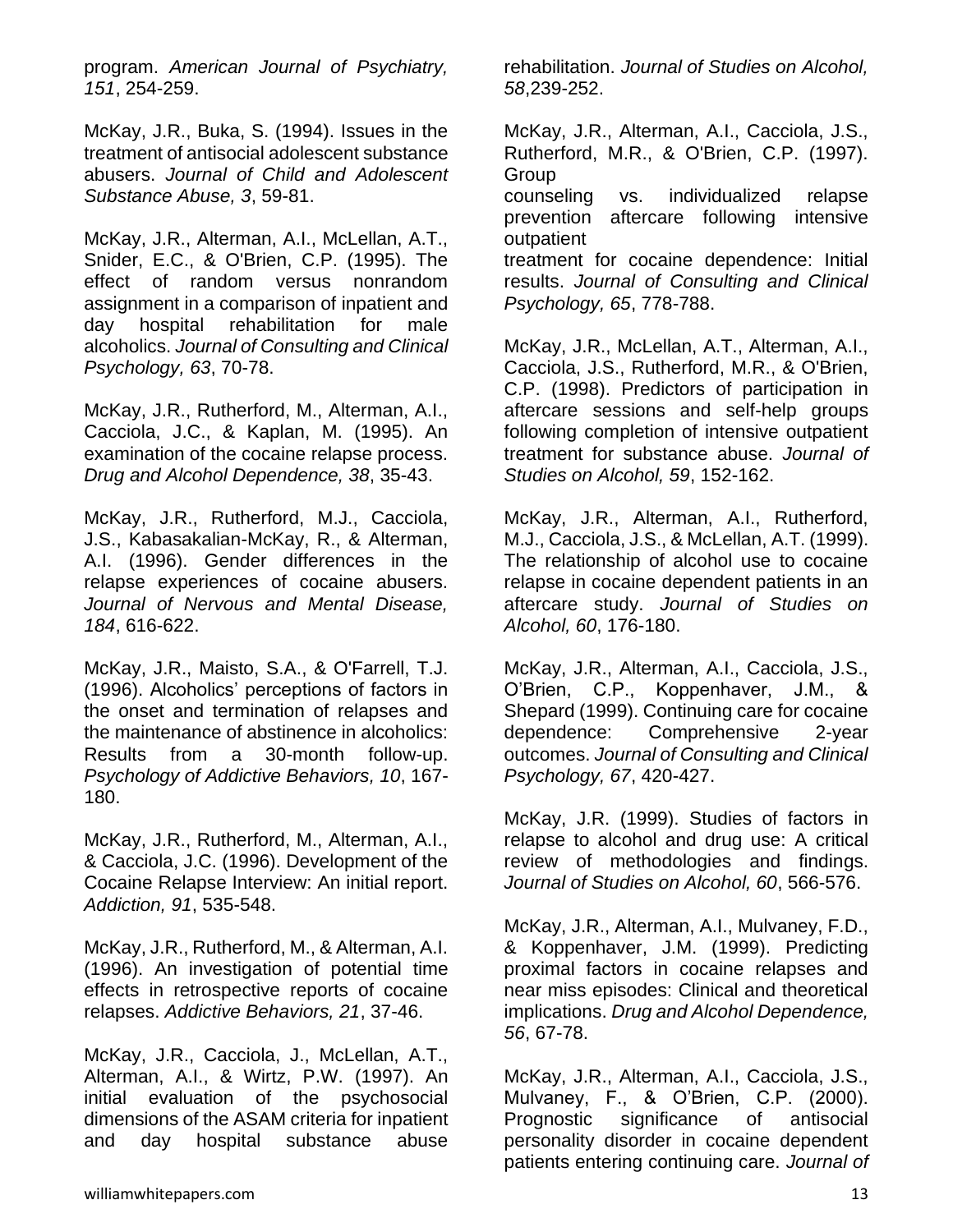program. *American Journal of Psychiatry, 151*, 254-259.

McKay, J.R., Buka, S. (1994). Issues in the treatment of antisocial adolescent substance abusers. *Journal of Child and Adolescent Substance Abuse, 3*, 59-81.

McKay, J.R., Alterman, A.I., McLellan, A.T., Snider, E.C., & O'Brien, C.P. (1995). The effect of random versus nonrandom assignment in a comparison of inpatient and day hospital rehabilitation for male alcoholics. *Journal of Consulting and Clinical Psychology, 63*, 70-78.

McKay, J.R., Rutherford, M., Alterman, A.I., Cacciola, J.C., & Kaplan, M. (1995). An examination of the cocaine relapse process. *Drug and Alcohol Dependence, 38*, 35-43.

McKay, J.R., Rutherford, M.J., Cacciola, J.S., Kabasakalian-McKay, R., & Alterman, A.I. (1996). Gender differences in the relapse experiences of cocaine abusers. *Journal of Nervous and Mental Disease, 184*, 616-622.

McKay, J.R., Maisto, S.A., & O'Farrell, T.J. (1996). Alcoholics' perceptions of factors in the onset and termination of relapses and the maintenance of abstinence in alcoholics: Results from a 30-month follow-up. *Psychology of Addictive Behaviors, 10*, 167- 180.

McKay, J.R., Rutherford, M., Alterman, A.I., & Cacciola, J.C. (1996). Development of the Cocaine Relapse Interview: An initial report. *Addiction, 91*, 535-548.

McKay, J.R., Rutherford, M., & Alterman, A.I. (1996). An investigation of potential time effects in retrospective reports of cocaine relapses. *Addictive Behaviors, 21*, 37-46.

McKay, J.R., Cacciola, J., McLellan, A.T., Alterman, A.I., & Wirtz, P.W. (1997). An initial evaluation of the psychosocial dimensions of the ASAM criteria for inpatient and day hospital substance abuse

rehabilitation. *Journal of Studies on Alcohol, 58*,239-252.

McKay, J.R., Alterman, A.I., Cacciola, J.S., Rutherford, M.R., & O'Brien, C.P. (1997). **Group** 

counseling vs. individualized relapse prevention aftercare following intensive outpatient

treatment for cocaine dependence: Initial results. *Journal of Consulting and Clinical Psychology, 65*, 778-788.

McKay, J.R., McLellan, A.T., Alterman, A.I., Cacciola, J.S., Rutherford, M.R., & O'Brien, C.P. (1998). Predictors of participation in aftercare sessions and self-help groups following completion of intensive outpatient treatment for substance abuse. *Journal of Studies on Alcohol, 59*, 152-162.

McKay, J.R., Alterman, A.I., Rutherford, M.J., Cacciola, J.S., & McLellan, A.T. (1999). The relationship of alcohol use to cocaine relapse in cocaine dependent patients in an aftercare study. *Journal of Studies on Alcohol, 60*, 176-180.

McKay, J.R., Alterman, A.I., Cacciola, J.S., O'Brien, C.P., Koppenhaver, J.M., & Shepard (1999). Continuing care for cocaine dependence: Comprehensive 2-year outcomes. *Journal of Consulting and Clinical Psychology, 67*, 420-427.

McKay, J.R. (1999). Studies of factors in relapse to alcohol and drug use: A critical review of methodologies and findings. *Journal of Studies on Alcohol, 60*, 566-576.

McKay, J.R., Alterman, A.I., Mulvaney, F.D., & Koppenhaver, J.M. (1999). Predicting proximal factors in cocaine relapses and near miss episodes: Clinical and theoretical implications. *Drug and Alcohol Dependence, 56*, 67-78.

McKay, J.R., Alterman, A.I., Cacciola, J.S., Mulvaney, F., & O'Brien, C.P. (2000). Prognostic significance of antisocial personality disorder in cocaine dependent patients entering continuing care. *Journal of*